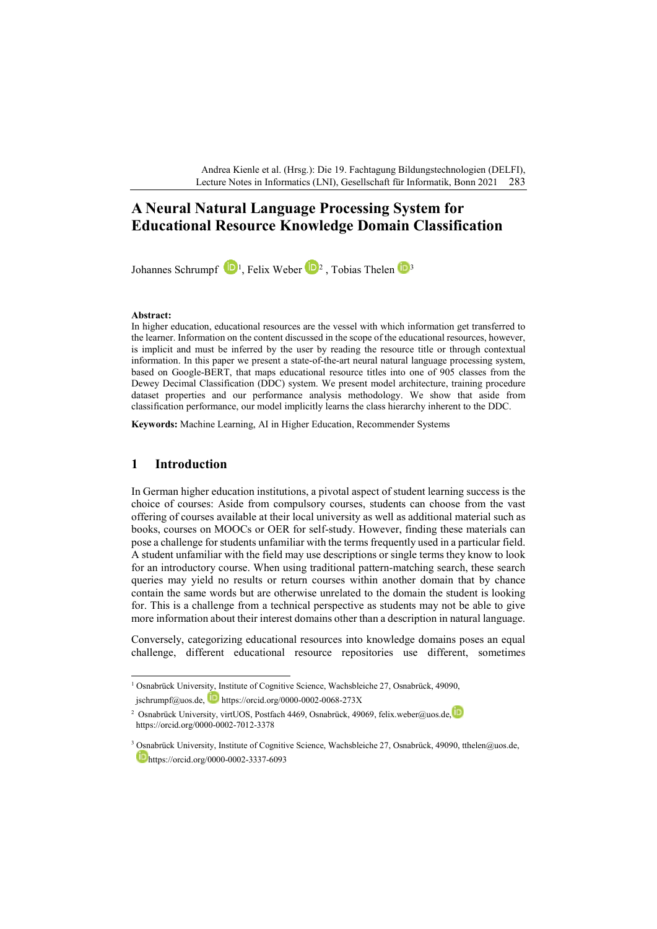Andrea Kienle et al. (Hrsg.): Die 19. Fachtagung Bildungstechnologien (DELFI), Lecture Notes in Informatics (LNI), Gesellschaft für Informatik, Bonn 2021 283

# **A Neural Natural Language Processing System for Educational Resource Knowledge Domain Classification**

Johannes Schrumpf  $\Box$ <sup>[1](#page-0-0)</sup>, Felix Weber  $\Box$ <sup>[2](#page-0-1)</sup>, Tobias Thelen  $\Box$ <sup>[3](#page-0-2)</sup>

#### **Abstract:**

In higher education, educational resources are the vessel with which information get transferred to the learner. Information on the content discussed in the scope of the educational resources, however, is implicit and must be inferred by the user by reading the resource title or through contextual information. In this paper we present a state-of-the-art neural natural language processing system, based on Google-BERT, that maps educational resource titles into one of 905 classes from the Dewey Decimal Classification (DDC) system. We present model architecture, training procedure dataset properties and our performance analysis methodology. We show that aside from classification performance, our model implicitly learns the class hierarchy inherent to the DDC.

**Keywords:** Machine Learning, AI in Higher Education, Recommender Systems

# **1 Introduction**

In German higher education institutions, a pivotal aspect of student learning success is the choice of courses: Aside from compulsory courses, students can choose from the vast offering of courses available at their local university as well as additional material such as books, courses on MOOCs or OER for self-study. However, finding these materials can pose a challenge for students unfamiliar with the terms frequently used in a particular field. A student unfamiliar with the field may use descriptions or single terms they know to look for an introductory course. When using traditional pattern-matching search, these search queries may yield no results or return courses within another domain that by chance contain the same words but are otherwise unrelated to the domain the student is looking for. This is a challenge from a technical perspective as students may not be able to give more information about their interest domains other than a description in natural language.

Conversely, categorizing educational resources into knowledge domains poses an equal challenge, different educational resource repositories use different, sometimes

<span id="page-0-0"></span><sup>&</sup>lt;sup>1</sup> Osnabrück University, Institute of Cognitive Science, Wachsbleiche 27, Osnabrück, 49090, jschrumpf@uos.de, https://orcid.org/0000-0002-0068-273X

<span id="page-0-1"></span><sup>&</sup>lt;sup>2</sup> Osnabrück University[,](https://orcid.org/0000-0002-1825-0097) virtUOS, Postfach 4469, Osnabrück, 49069, felix.weber@uos.de, https://orcid.org/0000-0002-7012-3378

<span id="page-0-2"></span><sup>3</sup> Osnabrück University, Institute of Cognitive Science, Wachsbleiche 27, Osnabrück, 49090, tthelen@uos.de, [h](https://orcid.org/0000-0002-1825-0097)ttps://orcid.org/0000-0002-3337-6093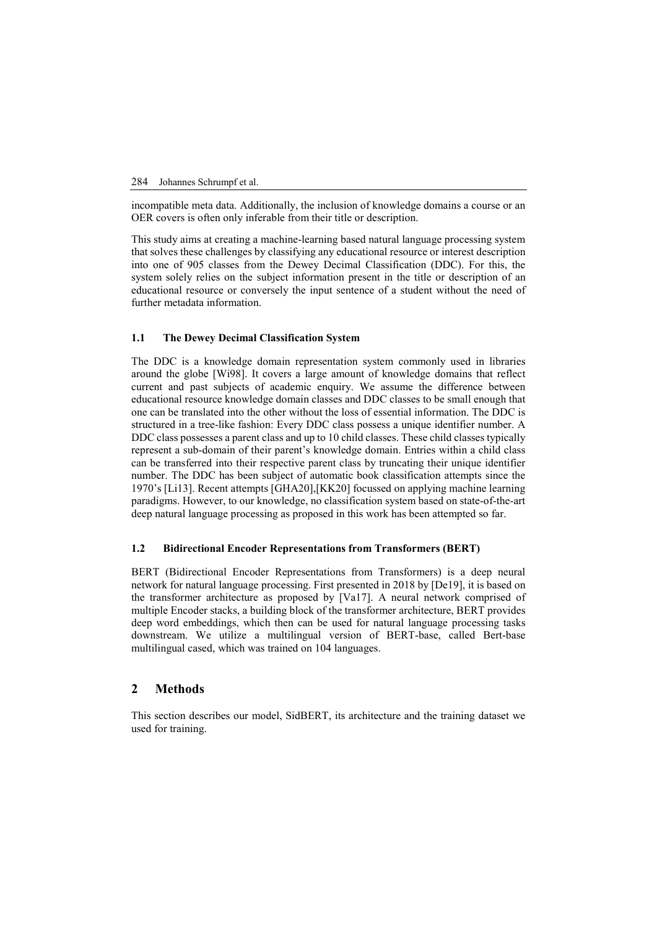#### 284 Johannes Schrumpf et al.

incompatible meta data. Additionally, the inclusion of knowledge domains a course or an OER covers is often only inferable from their title or description.

This study aims at creating a machine-learning based natural language processing system that solves these challenges by classifying any educational resource or interest description into one of 905 classes from the Dewey Decimal Classification (DDC). For this, the system solely relies on the subject information present in the title or description of an educational resource or conversely the input sentence of a student without the need of further metadata information.

#### **1.1 The Dewey Decimal Classification System**

The DDC is a knowledge domain representation system commonly used in libraries around the globe [Wi98]. It covers a large amount of knowledge domains that reflect current and past subjects of academic enquiry. We assume the difference between educational resource knowledge domain classes and DDC classes to be small enough that one can be translated into the other without the loss of essential information. The DDC is structured in a tree-like fashion: Every DDC class possess a unique identifier number. A DDC class possesses a parent class and up to 10 child classes. These child classes typically represent a sub-domain of their parent's knowledge domain. Entries within a child class can be transferred into their respective parent class by truncating their unique identifier number. The DDC has been subject of automatic book classification attempts since the 1970's [Li13]. Recent attempts [GHA20],[KK20] focussed on applying machine learning paradigms. However, to our knowledge, no classification system based on state-of-the-art deep natural language processing as proposed in this work has been attempted so far.

### **1.2 Bidirectional Encoder Representations from Transformers (BERT)**

BERT (Bidirectional Encoder Representations from Transformers) is a deep neural network for natural language processing. First presented in 2018 by [De19], it is based on the transformer architecture as proposed by [Va17]. A neural network comprised of multiple Encoder stacks, a building block of the transformer architecture, BERT provides deep word embeddings, which then can be used for natural language processing tasks downstream. We utilize a multilingual version of BERT-base, called Bert-base multilingual cased, which was trained on 104 languages.

#### **2 Methods**

This section describes our model, SidBERT, its architecture and the training dataset we used for training.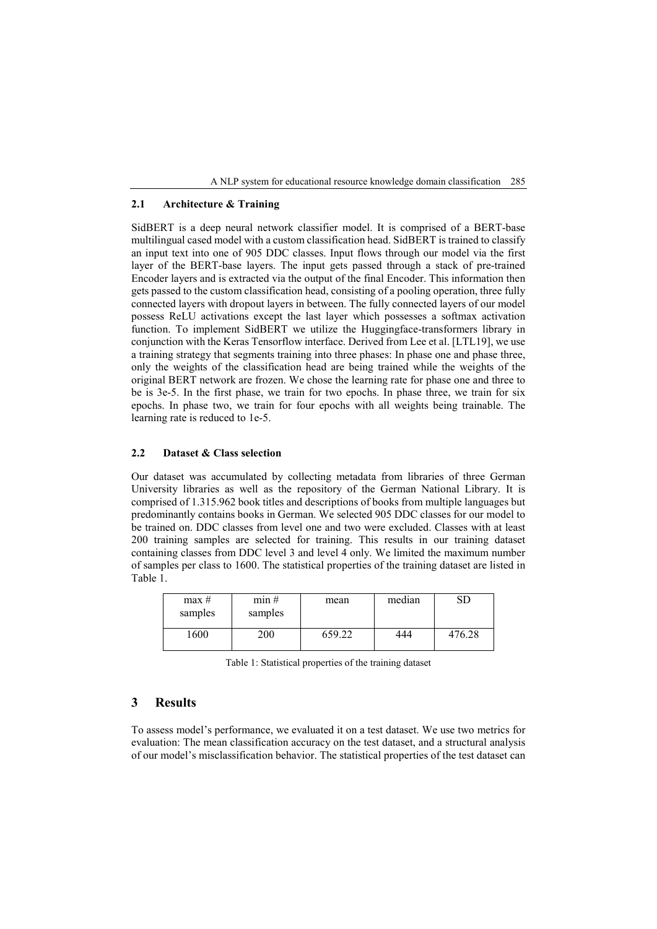A NLP system for educational resource knowledge domain classification 285

### **2.1 Architecture & Training**

SidBERT is a deep neural network classifier model. It is comprised of a BERT-base multilingual cased model with a custom classification head. SidBERT is trained to classify an input text into one of 905 DDC classes. Input flows through our model via the first layer of the BERT-base layers. The input gets passed through a stack of pre-trained Encoder layers and is extracted via the output of the final Encoder. This information then gets passed to the custom classification head, consisting of a pooling operation, three fully connected layers with dropout layers in between. The fully connected layers of our model possess ReLU activations except the last layer which possesses a softmax activation function. To implement SidBERT we utilize the Huggingface-transformers library in conjunction with the Keras Tensorflow interface. Derived from Lee et al. [LTL19], we use a training strategy that segments training into three phases: In phase one and phase three, only the weights of the classification head are being trained while the weights of the original BERT network are frozen. We chose the learning rate for phase one and three to be is 3e-5. In the first phase, we train for two epochs. In phase three, we train for six epochs. In phase two, we train for four epochs with all weights being trainable. The learning rate is reduced to 1e-5.

### **2.2 Dataset & Class selection**

Our dataset was accumulated by collecting metadata from libraries of three German University libraries as well as the repository of the German National Library. It is comprised of 1.315.962 book titles and descriptions of books from multiple languages but predominantly contains books in German. We selected 905 DDC classes for our model to be trained on. DDC classes from level one and two were excluded. Classes with at least 200 training samples are selected for training. This results in our training dataset containing classes from DDC level 3 and level 4 only. We limited the maximum number of samples per class to 1600. The statistical properties of the training dataset are listed in [Table 1.](#page-2-0)

| max#<br>samples | min#<br>samples | mean  | median |       |
|-----------------|-----------------|-------|--------|-------|
| 1600            |                 | 59.22 | 444    | 76.28 |

Table 1: Statistical properties of the training dataset

## <span id="page-2-0"></span>**3 Results**

To assess model's performance, we evaluated it on a test dataset. We use two metrics for evaluation: The mean classification accuracy on the test dataset, and a structural analysis of our model's misclassification behavior. The statistical properties of the test dataset can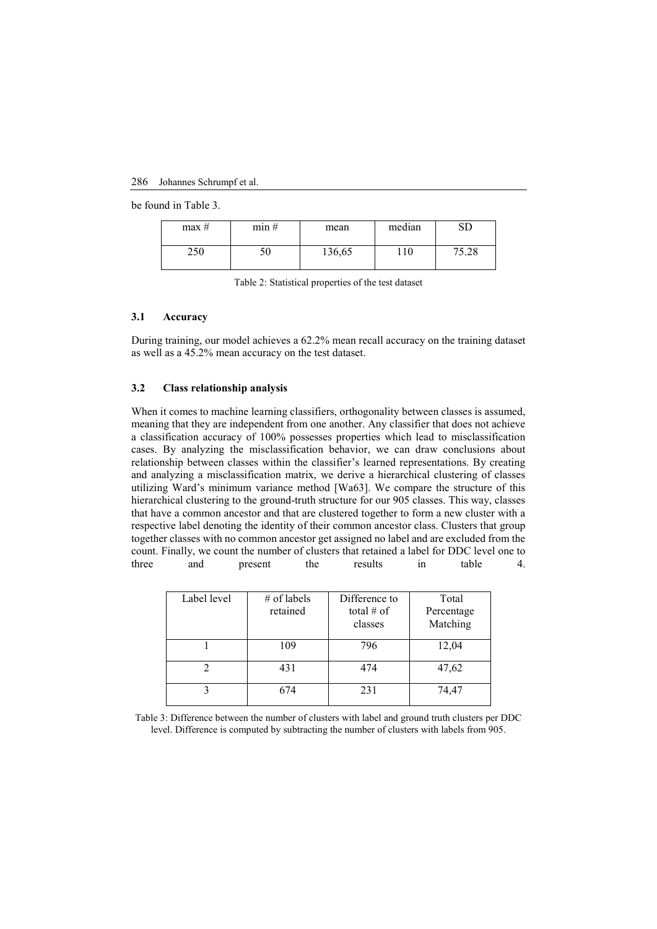#### 286 Johannes Schrumpf et al.

be found in Table 3.

| max# | min# | mean   | median | SD    |
|------|------|--------|--------|-------|
| 250  | 50   | 136,65 | 110    | 75.28 |

Table 2: Statistical properties of the test dataset

#### **3.1 Accuracy**

During training, our model achieves a 62.2% mean recall accuracy on the training dataset as well as a 45.2% mean accuracy on the test dataset.

#### **3.2 Class relationship analysis**

When it comes to machine learning classifiers, orthogonality between classes is assumed, meaning that they are independent from one another. Any classifier that does not achieve a classification accuracy of 100% possesses properties which lead to misclassification cases. By analyzing the misclassification behavior, we can draw conclusions about relationship between classes within the classifier's learned representations. By creating and analyzing a misclassification matrix, we derive a hierarchical clustering of classes utilizing Ward's minimum variance method [Wa63]. We compare the structure of this hierarchical clustering to the ground-truth structure for our 905 classes. This way, classes that have a common ancestor and that are clustered together to form a new cluster with a respective label denoting the identity of their common ancestor class. Clusters that group together classes with no common ancestor get assigned no label and are excluded from the count. Finally, we count the number of clusters that retained a label for DDC level one to three and present the results in table 4.

| Label level | $#$ of labels<br>retained | Difference to<br>total $#$ of<br>classes | Total<br>Percentage<br>Matching |
|-------------|---------------------------|------------------------------------------|---------------------------------|
|             | 109                       | 796                                      | 12,04                           |
|             | 431                       | 474                                      | 47,62                           |
|             | 674                       | 231                                      | 74,47                           |

Table 3: Difference between the number of clusters with label and ground truth clusters per DDC level. Difference is computed by subtracting the number of clusters with labels from 905.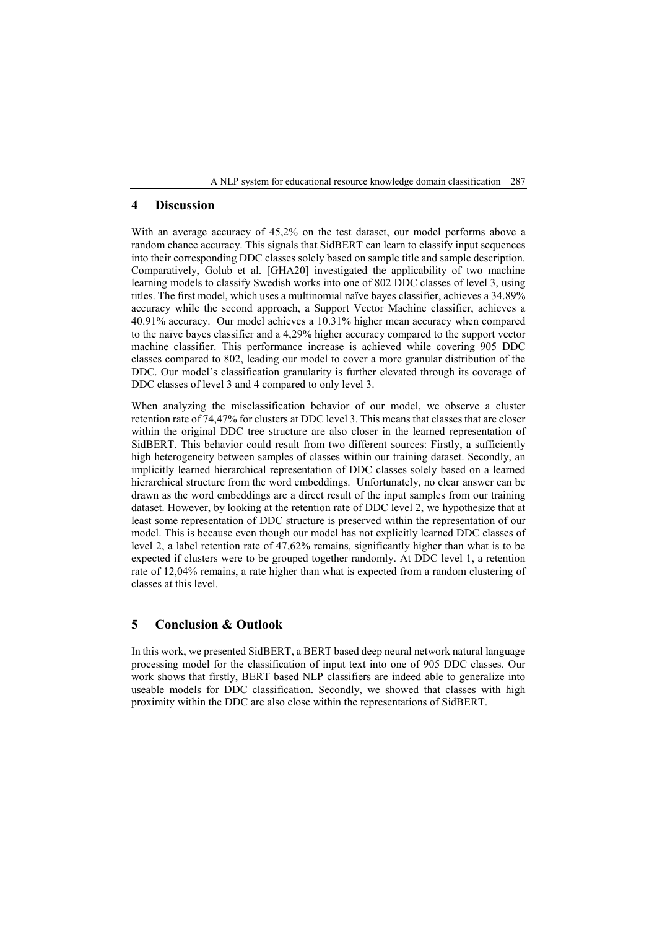A NLP system for educational resource knowledge domain classification 287

# **4 Discussion**

With an average accuracy of 45,2% on the test dataset, our model performs above a random chance accuracy. This signals that SidBERT can learn to classify input sequences into their corresponding DDC classes solely based on sample title and sample description. Comparatively, Golub et al. [GHA20] investigated the applicability of two machine learning models to classify Swedish works into one of 802 DDC classes of level 3, using titles. The first model, which uses a multinomial naïve bayes classifier, achieves a 34.89% accuracy while the second approach, a Support Vector Machine classifier, achieves a 40.91% accuracy. Our model achieves a 10.31% higher mean accuracy when compared to the naïve bayes classifier and a 4,29% higher accuracy compared to the support vector machine classifier. This performance increase is achieved while covering 905 DDC classes compared to 802, leading our model to cover a more granular distribution of the DDC. Our model's classification granularity is further elevated through its coverage of DDC classes of level 3 and 4 compared to only level 3.

When analyzing the misclassification behavior of our model, we observe a cluster retention rate of 74,47% for clusters at DDC level 3. This means that classes that are closer within the original DDC tree structure are also closer in the learned representation of SidBERT. This behavior could result from two different sources: Firstly, a sufficiently high heterogeneity between samples of classes within our training dataset. Secondly, an implicitly learned hierarchical representation of DDC classes solely based on a learned hierarchical structure from the word embeddings. Unfortunately, no clear answer can be drawn as the word embeddings are a direct result of the input samples from our training dataset. However, by looking at the retention rate of DDC level 2, we hypothesize that at least some representation of DDC structure is preserved within the representation of our model. This is because even though our model has not explicitly learned DDC classes of level 2, a label retention rate of 47,62% remains, significantly higher than what is to be expected if clusters were to be grouped together randomly. At DDC level 1, a retention rate of 12,04% remains, a rate higher than what is expected from a random clustering of classes at this level.

# **5 Conclusion & Outlook**

In this work, we presented SidBERT, a BERT based deep neural network natural language processing model for the classification of input text into one of 905 DDC classes. Our work shows that firstly, BERT based NLP classifiers are indeed able to generalize into useable models for DDC classification. Secondly, we showed that classes with high proximity within the DDC are also close within the representations of SidBERT.